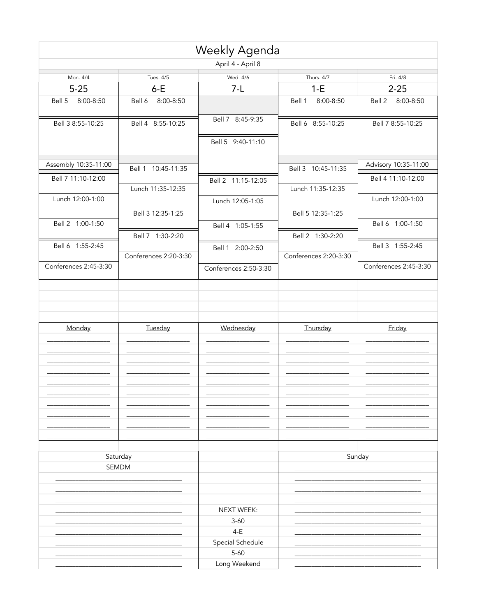|                       |                       | Weekly Agenda         |                       |                       |
|-----------------------|-----------------------|-----------------------|-----------------------|-----------------------|
|                       |                       | April 4 - April 8     |                       |                       |
| Mon. 4/4              | Tues. 4/5             | Wed. 4/6              | Thurs. 4/7            | Fri. 4/8              |
| $5 - 25$              | $6-E$                 | $7-L$                 | $1-E$                 | $2 - 25$              |
| Bell 5<br>8:00-8:50   | 8:00-8:50<br>Bell 6   |                       | Bell 1<br>8:00-8:50   | Bell 2 8:00-8:50      |
| Bell 3 8:55-10:25     | Bell 4 8:55-10:25     | Bell 7 8:45-9:35      | Bell 6 8:55-10:25     | Bell 7 8:55-10:25     |
|                       |                       | Bell 5 9:40-11:10     |                       |                       |
| Assembly 10:35-11:00  | Bell 1 10:45-11:35    |                       | Bell 3 10:45-11:35    | Advisory 10:35-11:00  |
| Bell 7 11:10-12:00    | Lunch 11:35-12:35     | Bell 2 11:15-12:05    | Lunch 11:35-12:35     | Bell 4 11:10-12:00    |
| Lunch 12:00-1:00      |                       | Lunch 12:05-1:05      |                       | Lunch 12:00-1:00      |
| Bell 2 1:00-1:50      | Bell 3 12:35-1:25     |                       | Bell 5 12:35-1:25     | Bell 6 1:00-1:50      |
|                       | Bell 7 1:30-2:20      | Bell 4 1:05-1:55      | Bell 2 1:30-2:20      |                       |
| Bell 6 1:55-2:45      | Conferences 2:20-3:30 | Bell 1 2:00-2:50      | Conferences 2:20-3:30 | Bell 3 1:55-2:45      |
| Conferences 2:45-3:30 |                       | Conferences 2:50-3:30 |                       | Conferences 2:45-3:30 |
|                       |                       |                       |                       |                       |
| Monday                | Tuesday               | Wednesday             | Thursday              | Friday                |
|                       |                       |                       |                       |                       |
|                       |                       |                       |                       |                       |
|                       |                       |                       |                       |                       |
|                       |                       |                       |                       |                       |
|                       |                       |                       |                       |                       |
|                       | Saturday              |                       |                       | Sunday                |
|                       | SEMDM                 |                       |                       |                       |
|                       |                       |                       |                       |                       |
|                       |                       | NEXT WEEK:            |                       |                       |
|                       |                       | $3 - 60$              |                       |                       |
|                       |                       | $4-E$                 |                       |                       |
|                       |                       | Special Schedule      |                       |                       |
|                       |                       | $5 - 60$              |                       |                       |
|                       |                       | Long Weekend          |                       |                       |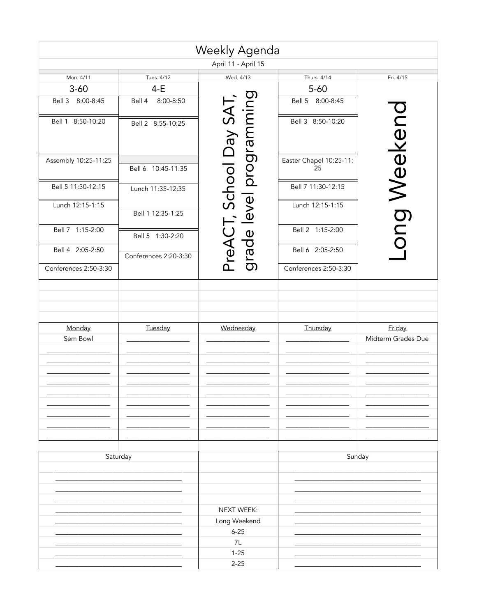|                       |                       | Weekly Agenda                         |                               |                    |
|-----------------------|-----------------------|---------------------------------------|-------------------------------|--------------------|
|                       |                       | April 11 - April 15                   |                               |                    |
| Mon. 4/11             | Tues. 4/12            | Wed. 4/13                             | Thurs. 4/14                   | Fri. 4/15          |
| $3 - 60$              | $4-E$                 |                                       | $5 - 60$                      |                    |
| Bell 3 8:00-8:45      | 8:00-8:50<br>Bell 4   |                                       | Bell 5 8:00-8:45              |                    |
| Bell 1 8:50-10:20     | Bell 2 8:55-10:25     | level programming<br>, School Day SAT | Bell 3 8:50-10:20             | ong Weekenc        |
| Assembly 10:25-11:25  | Bell 6 10:45-11:35    |                                       | Easter Chapel 10:25-11:<br>25 |                    |
| Bell 5 11:30-12:15    | Lunch 11:35-12:35     |                                       | Bell 7 11:30-12:15            |                    |
| Lunch 12:15-1:15      | Bell 1 12:35-1:25     |                                       | Lunch 12:15-1:15              |                    |
| Bell 7 1:15-2:00      | Bell 5 1:30-2:20      | PreAC1<br>grade l                     | Bell 2 1:15-2:00              |                    |
| Bell 4 2:05-2:50      | Conferences 2:20-3:30 |                                       | Bell 6 2:05-2:50              |                    |
| Conferences 2:50-3:30 |                       |                                       | Conferences 2:50-3:30         |                    |
|                       |                       |                                       |                               |                    |
| Monday                | Tuesday               | Wednesday                             | Thursday                      | Friday             |
| Sem Bowl              |                       |                                       |                               | Midterm Grades Due |
|                       | Saturday              |                                       |                               | Sunday             |
|                       |                       |                                       |                               |                    |
|                       |                       | NEXT WEEK:                            |                               |                    |
|                       |                       | Long Weekend                          |                               |                    |
|                       |                       | $6 - 25$                              |                               |                    |
|                       |                       | 7L                                    |                               |                    |
|                       |                       | $1 - 25$                              |                               |                    |
|                       |                       | $2 - 25$                              |                               |                    |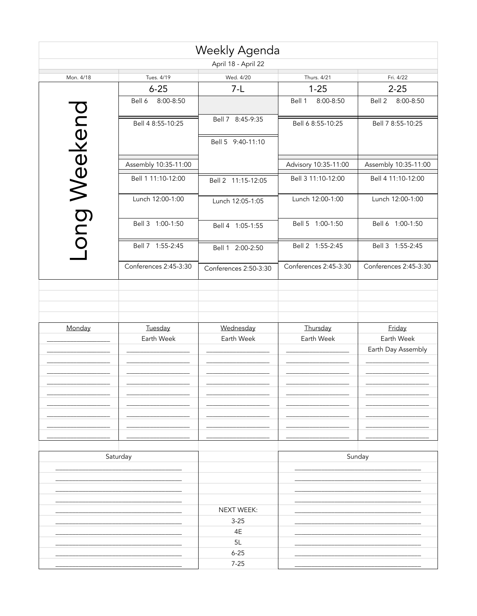| Weekly Agenda       |                       |                        |                       |                       |  |
|---------------------|-----------------------|------------------------|-----------------------|-----------------------|--|
| April 18 - April 22 |                       |                        |                       |                       |  |
| Mon. 4/18           | Tues. 4/19            | Wed. 4/20              | Thurs. 4/21           | Fri. 4/22             |  |
|                     | $6 - 25$              | $7-L$                  | $1 - 25$              | $2 - 25$              |  |
|                     | Bell 6<br>8:00-8:50   |                        | 8:00-8:50<br>Bell 1   | Bell 2<br>8:00-8:50   |  |
|                     | Bell 4 8:55-10:25     | Bell 7 8:45-9:35       | Bell 6 8:55-10:25     | Bell 7 8:55-10:25     |  |
|                     |                       | Bell 5 9:40-11:10      |                       |                       |  |
|                     | Assembly 10:35-11:00  |                        | Advisory 10:35-11:00  | Assembly 10:35-11:00  |  |
|                     | Bell 1 11:10-12:00    | Bell 2 11:15-12:05     | Bell 3 11:10-12:00    | Bell 4 11:10-12:00    |  |
| ong Weekend         | Lunch 12:00-1:00      | Lunch 12:05-1:05       | Lunch 12:00-1:00      | Lunch 12:00-1:00      |  |
|                     | Bell 3 1:00-1:50      | Bell 4 1:05-1:55       | Bell 5 1:00-1:50      | Bell 6 1:00-1:50      |  |
|                     | Bell 7 1:55-2:45      | Bell 1 2:00-2:50       | Bell 2 1:55-2:45      | Bell 3 1:55-2:45      |  |
|                     | Conferences 2:45-3:30 | Conferences 2:50-3:30  | Conferences 2:45-3:30 | Conferences 2:45-3:30 |  |
|                     |                       |                        |                       |                       |  |
|                     |                       |                        |                       |                       |  |
| Monday              | Tuesday               | Wednesday              | Thursday              | Friday                |  |
|                     | Earth Week            | Earth Week             | Earth Week            | Earth Week            |  |
|                     |                       |                        |                       | Earth Day Assembly    |  |
|                     |                       |                        |                       |                       |  |
|                     |                       |                        |                       |                       |  |
|                     |                       |                        |                       |                       |  |
|                     |                       |                        |                       |                       |  |
|                     |                       |                        |                       |                       |  |
|                     |                       |                        |                       |                       |  |
|                     |                       |                        |                       |                       |  |
|                     | Saturday              |                        |                       | Sunday                |  |
|                     |                       |                        |                       |                       |  |
|                     |                       |                        |                       |                       |  |
|                     |                       |                        |                       |                       |  |
|                     |                       |                        |                       |                       |  |
|                     |                       | NEXT WEEK:<br>$3 - 25$ |                       |                       |  |
|                     |                       | 4E                     |                       |                       |  |
|                     |                       | 5L                     |                       |                       |  |
|                     |                       | $6 - 25$               |                       |                       |  |
|                     |                       | $7 - 25$               |                       |                       |  |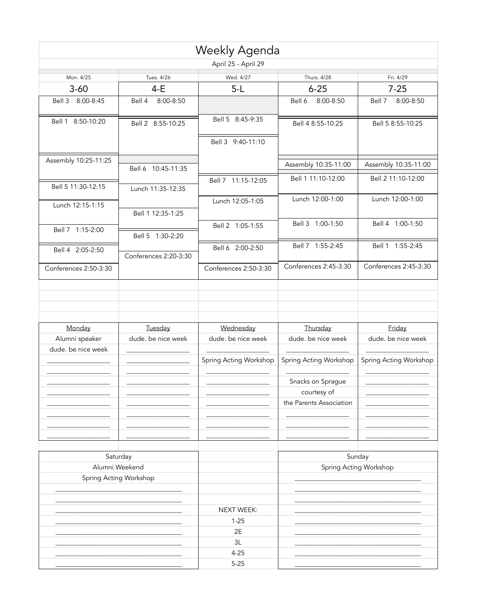|                            |                        | <b>Weekly Agenda</b>   |                         |                        |
|----------------------------|------------------------|------------------------|-------------------------|------------------------|
|                            |                        | April 25 - April 29    |                         |                        |
| Mon. 4/25                  | Tues. 4/26             | Wed. 4/27              | Thurs. 4/28             | Fri. 4/29              |
| $3 - 60$                   | $4-E$                  | $5-L$                  | $6 - 25$                | $7 - 25$               |
| Bell 3 8:00-8:45           | 8:00-8:50<br>Bell 4    |                        | 8:00-8:50<br>Bell 6     | Bell 7<br>8:00-8:50    |
| Bell 1 8:50-10:20          | Bell 2 8:55-10:25      | Bell 5 8:45-9:35       | Bell 4 8:55-10:25       | Bell 5 8:55-10:25      |
|                            |                        | Bell 3 9:40-11:10      |                         |                        |
| Assembly 10:25-11:25       | Bell 6 10:45-11:35     |                        | Assembly 10:35-11:00    | Assembly 10:35-11:00   |
| Bell 5 11:30-12:15         | Lunch 11:35-12:35      | Bell 7 11:15-12:05     | Bell 1 11:10-12:00      | Bell 2 11:10-12:00     |
| Lunch 12:15-1:15           |                        | Lunch 12:05-1:05       | Lunch 12:00-1:00        | Lunch 12:00-1:00       |
| Bell 7 1:15-2:00           | Bell 1 12:35-1:25      | Bell 2 1:05-1:55       | Bell 3 1:00-1:50        | Bell 4 1:00-1:50       |
|                            | Bell 5 1:30-2:20       | Bell 6 2:00-2:50       | Bell 7 1:55-2:45        | Bell 1 1:55-2:45       |
| Bell 4 2:05-2:50           | Conferences 2:20-3:30  |                        |                         |                        |
| Conferences 2:50-3:30      |                        | Conferences 2:50-3:30  | Conferences 2:45-3:30   | Conferences 2:45-3:30  |
|                            |                        |                        |                         |                        |
| Monday                     | Tuesday                | Wednesday              | Thursday                | Friday                 |
| Alumni speaker             | dude. be nice week     | dude. be nice week     | dude. be nice week      | dude. be nice week     |
| dude. be nice week         |                        | Spring Acting Workshop | Spring Acting Workshop  | Spring Acting Workshop |
|                            |                        |                        | Snacks on Sprague       |                        |
|                            |                        |                        | courtesy of             |                        |
|                            |                        |                        | the Parents Association |                        |
|                            |                        |                        |                         | Sunday                 |
| Saturday<br>Alumni Weekend |                        |                        |                         | Spring Acting Workshop |
|                            | Spring Acting Workshop |                        |                         |                        |
|                            |                        | <b>NEXT WEEK:</b>      |                         |                        |
|                            |                        | $1 - 25$               |                         |                        |
|                            |                        | 2E                     |                         |                        |
|                            |                        | 3L                     |                         |                        |
|                            |                        | $4 - 25$               |                         |                        |
|                            |                        | $5 - 25$               |                         |                        |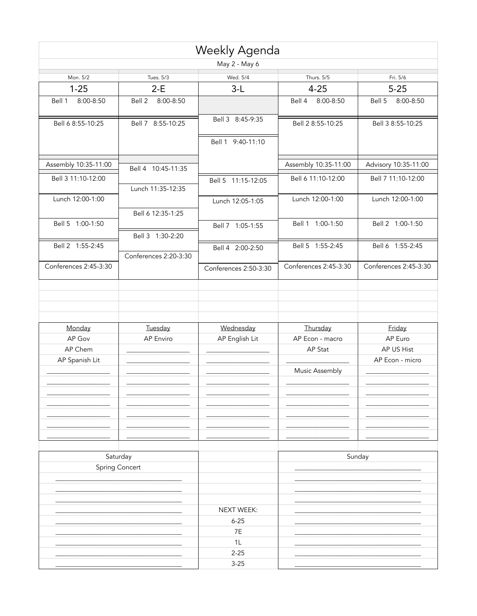|                       |                                   | Weekly Agenda         |                       |                       |
|-----------------------|-----------------------------------|-----------------------|-----------------------|-----------------------|
|                       |                                   | May 2 - May 6         |                       |                       |
| Mon. 5/2              | Tues. 5/3                         | Wed. 5/4              | Thurs. 5/5            | Fri. 5/6              |
| $1 - 25$              | $2-E$                             | $3-L$                 | $4 - 25$              | $5 - 25$              |
| 8:00-8:50<br>Bell 1   | 8:00-8:50<br>Bell 2               |                       | 8:00-8:50<br>Bell 4   | Bell 5<br>8:00-8:50   |
| Bell 6 8:55-10:25     | Bell 7 8:55-10:25                 | Bell 3 8:45-9:35      | Bell 2 8:55-10:25     | Bell 3 8:55-10:25     |
|                       |                                   | Bell 1 9:40-11:10     |                       |                       |
| Assembly 10:35-11:00  | Bell 4 10:45-11:35                |                       | Assembly 10:35-11:00  | Advisory 10:35-11:00  |
| Bell 3 11:10-12:00    | Lunch 11:35-12:35                 | Bell 5 11:15-12:05    | Bell 6 11:10-12:00    | Bell 7 11:10-12:00    |
| Lunch 12:00-1:00      |                                   | Lunch 12:05-1:05      | Lunch 12:00-1:00      | Lunch 12:00-1:00      |
| Bell 5 1:00-1:50      | Bell 6 12:35-1:25                 | Bell 7 1:05-1:55      | Bell 1 1:00-1:50      | Bell 2 1:00-1:50      |
|                       | Bell 3 1:30-2:20                  |                       |                       |                       |
| Bell 2 1:55-2:45      | Conferences 2:20-3:30             | Bell 4 2:00-2:50      | Bell 5 1:55-2:45      | Bell 6 1:55-2:45      |
| Conferences 2:45-3:30 |                                   | Conferences 2:50-3:30 | Conferences 2:45-3:30 | Conferences 2:45-3:30 |
| Monday                | Tuesday                           | Wednesday             | Thursday              | Friday                |
| AP Gov                | AP Enviro                         | AP English Lit        | AP Econ - macro       | AP Euro               |
| AP Chem               |                                   |                       | AP Stat               | AP US Hist            |
| AP Spanish Lit        |                                   |                       | Music Assembly        | AP Econ - micro       |
|                       |                                   |                       |                       |                       |
|                       |                                   |                       |                       |                       |
|                       | Saturday<br><b>Spring Concert</b> |                       |                       | Sunday                |
|                       |                                   |                       |                       |                       |
|                       |                                   | NEXT WEEK:            |                       |                       |
|                       |                                   | $6 - 25$              |                       |                       |
|                       |                                   | 7E                    |                       |                       |
|                       |                                   | 1L                    |                       |                       |
|                       |                                   | $2 - 25$              |                       |                       |
|                       |                                   | $3 - 25$              |                       |                       |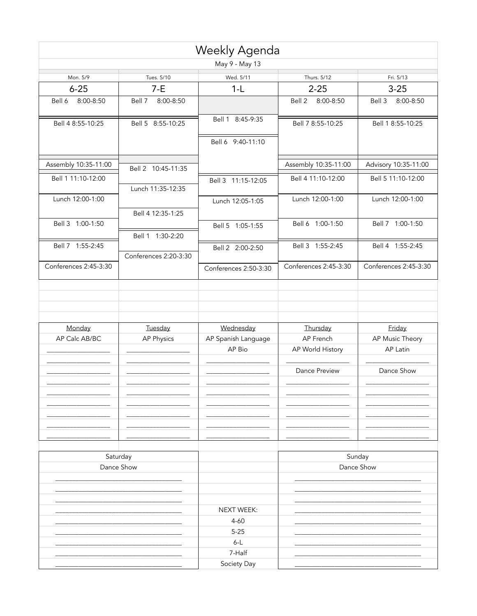|                         |                       | Weekly Agenda                 |                       |                             |
|-------------------------|-----------------------|-------------------------------|-----------------------|-----------------------------|
|                         |                       | May 9 - May 13                |                       |                             |
| Mon. 5/9                | Tues. 5/10            | Wed. 5/11                     | Thurs. 5/12           | Fri. 5/13                   |
| $6 - 25$                | $7-E$                 | $1-L$                         | $2 - 25$              | $3 - 25$                    |
| Bell 6<br>8:00-8:50     | 8:00-8:50<br>Bell 7   |                               | 8:00-8:50<br>Bell 2   | Bell 3<br>8:00-8:50         |
| Bell 4 8:55-10:25       | Bell 5 8:55-10:25     | Bell 1 8:45-9:35              | Bell 7 8:55-10:25     | Bell 1 8:55-10:25           |
|                         |                       | Bell 6 9:40-11:10             |                       |                             |
| Assembly 10:35-11:00    | Bell 2 10:45-11:35    |                               | Assembly 10:35-11:00  | Advisory 10:35-11:00        |
| Bell 1 11:10-12:00      | Lunch 11:35-12:35     | Bell 3 11:15-12:05            | Bell 4 11:10-12:00    | Bell 5 11:10-12:00          |
| Lunch 12:00-1:00        |                       | Lunch 12:05-1:05              | Lunch 12:00-1:00      | Lunch 12:00-1:00            |
| Bell 3 1:00-1:50        | Bell 4 12:35-1:25     | Bell 5 1:05-1:55              | Bell 6 1:00-1:50      | Bell 7 1:00-1:50            |
|                         | Bell 1 1:30-2:20      |                               |                       |                             |
| Bell 7 1:55-2:45        | Conferences 2:20-3:30 | Bell 2 2:00-2:50              | Bell 3 1:55-2:45      | Bell 4 1:55-2:45            |
| Conferences 2:45-3:30   |                       | Conferences 2:50-3:30         | Conferences 2:45-3:30 | Conferences 2:45-3:30       |
|                         |                       |                               |                       |                             |
| Monday<br>AP Calc AB/BC | Tuesday               | Wednesday                     | Thursday<br>AP French | Friday                      |
|                         | AP Physics            | AP Spanish Language<br>AP Bio | AP World History      | AP Music Theory<br>AP Latin |
|                         |                       |                               | Dance Preview         | Dance Show                  |
|                         |                       |                               |                       |                             |
| Saturday<br>Dance Show  |                       |                               |                       | Sunday<br>Dance Show        |
|                         |                       |                               |                       |                             |
|                         |                       | <b>NEXT WEEK:</b>             |                       |                             |
|                         |                       | $4 - 60$                      |                       |                             |
|                         |                       | $5 - 25$                      |                       |                             |
|                         |                       | $6-L$                         |                       |                             |
|                         |                       | 7-Half                        |                       |                             |
|                         |                       | Society Day                   |                       |                             |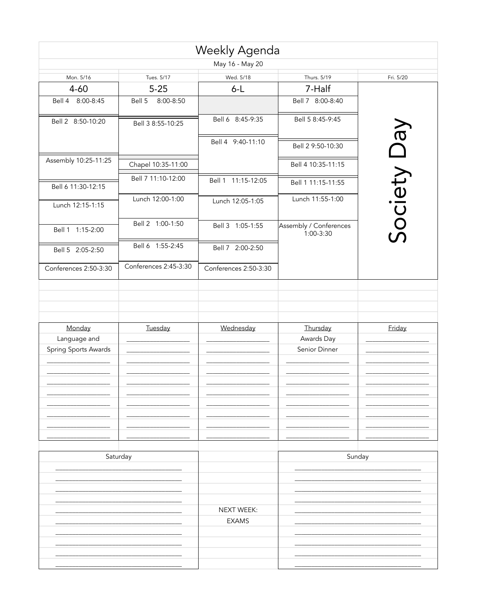|                       |                       | Weekly Agenda         |                                         |           |
|-----------------------|-----------------------|-----------------------|-----------------------------------------|-----------|
|                       |                       | May 16 - May 20       |                                         |           |
| Mon. 5/16             | Tues. 5/17            | Wed. 5/18             | Thurs. 5/19                             | Fri. 5/20 |
| $4 - 60$              | $5 - 25$              | $6 - L$               | 7-Half                                  |           |
| Bell 4 8:00-8:45      | Bell 5<br>8:00-8:50   |                       | Bell 7 8:00-8:40                        |           |
| Bell 2 8:50-10:20     | Bell 3 8:55-10:25     | Bell 6 8:45-9:35      | Bell 5 8:45-9:45                        |           |
|                       |                       | Bell 4 9:40-11:10     | Bell 2 9:50-10:30                       | VeQ       |
| Assembly 10:25-11:25  | Chapel 10:35-11:00    |                       | Bell 4 10:35-11:15                      |           |
| Bell 6 11:30-12:15    | Bell 7 11:10-12:00    | Bell 1 11:15-12:05    | Bell 1 11:15-11:55                      |           |
| Lunch 12:15-1:15      | Lunch 12:00-1:00      | Lunch 12:05-1:05      | Lunch 11:55-1:00                        |           |
| Bell 1 1:15-2:00      | Bell 2 1:00-1:50      | Bell 3 1:05-1:55      | Assembly / Conferences<br>$1:00 - 3:30$ | Society   |
| Bell 5 2:05-2:50      | Bell 6 1:55-2:45      | Bell 7 2:00-2:50      |                                         |           |
| Conferences 2:50-3:30 | Conferences 2:45-3:30 | Conferences 2:50-3:30 |                                         |           |
|                       |                       |                       |                                         |           |
| Monday                | Tuesday               | Wednesday             | Thursday                                | Friday    |
| Language and          |                       |                       | Awards Day                              |           |
| Spring Sports Awards  |                       |                       | Senior Dinner                           |           |
|                       |                       |                       |                                         |           |
|                       |                       |                       |                                         |           |
|                       |                       |                       |                                         |           |
|                       |                       |                       |                                         |           |
| Saturday              |                       |                       | Sunday                                  |           |
|                       |                       |                       |                                         |           |
|                       |                       |                       |                                         |           |
|                       |                       | NEXT WEEK:            |                                         |           |
|                       |                       | <b>EXAMS</b>          |                                         |           |
|                       |                       |                       |                                         |           |
|                       |                       |                       |                                         |           |